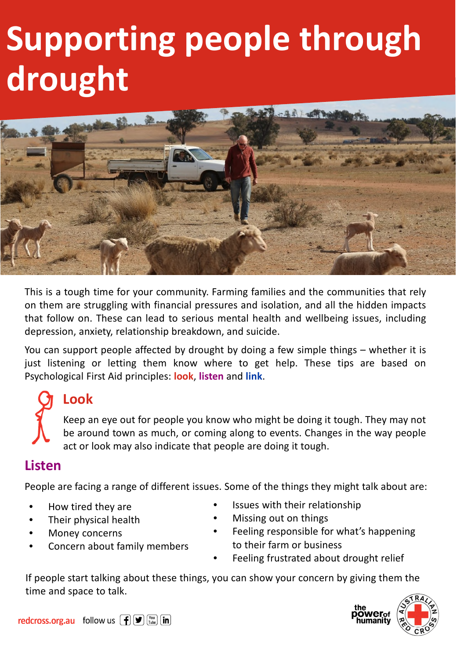# **Supporting people through drought**



This is a tough time for your community. Farming families and the communities that rely on them are struggling with financial pressures and isolation, and all the hidden impacts that follow on. These can lead to serious mental health and wellbeing issues, including depression, anxiety, relationship breakdown, and suicide.

You can support people affected by drought by doing a few simple things – whether it is just listening or letting them know where to get help. These tips are based on Psychological First Aid principles: **look**, **listen** and **link**.

# **Look**

Keep an eye out for people you know who might be doing it tough. They may not be around town as much, or coming along to events. Changes in the way people act or look may also indicate that people are doing it tough.

### **Listen**

People are facing a range of different issues. Some of the things they might talk about are:

- How tired they are
- Their physical health
- Money concerns
- Concern about family members
- Issues with their relationship
- Missing out on things
- Feeling responsible for what's happening to their farm or business
- Feeling frustrated about drought relief

If people start talking about these things, you can show your concern by giving them the time and space to talk.